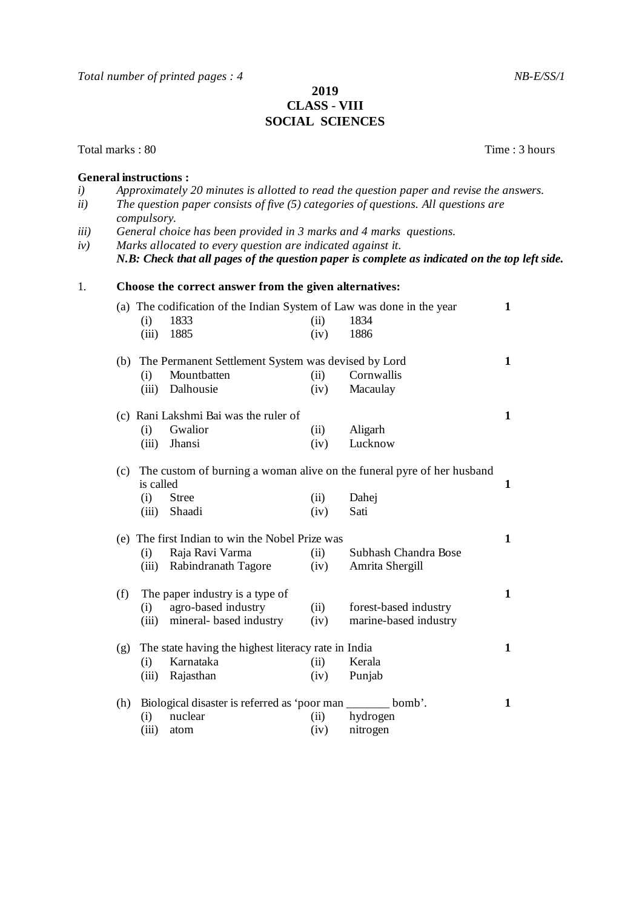## **2019 CLASS** - **VIII SOCIAL SCIENCES**

Total marks : 80 Time : 3 hours

## **General instructions :** *i) Approximately 20 minutes is allotted to read the question paper and revise the answers. ii) The question paper consists of five (5) categories of questions. All questions are compulsory. iii) General choice has been provided in 3 marks and 4 marks questions. iv) Marks allocated to every question are indicated against it. N.B: Check that all pages of the question paper is complete as indicated on the top left side.* 1. **Choose the correct answer from the given alternatives:**  (a) The codification of the Indian System of Law was done in the year **1** (i) 1833 (ii) 1834 (iii) 1885 (iv) 1886 (b) The Permanent Settlement System was devised by Lord **1** (i) Mountbatten (ii) Cornwallis (iii) Dalhousie (iv) Macaulay (c) Rani Lakshmi Bai was the ruler of **1** (i) Gwalior (ii) Aligarh (iii) Jhansi (iv) Lucknow (c) The custom of burning a woman alive on the funeral pyre of her husband is called **1** (i) Stree (ii) Dahej (iii) Shaadi (iv) Sati (e) The first Indian to win the Nobel Prize was **1** (i) Raja Ravi Varma (ii) Subhash Chandra Bose (iii) Rabindranath Tagore (iv) Amrita Shergill (f) The paper industry is a type of **1** (i) agro-based industry (ii) forest-based industry (iii) mineral- based industry (iv) marine-based industry (g) The state having the highest literacy rate in India **1** (i) Karnataka (ii) Kerala (iii) Rajasthan (iv) Punjab (h) Biological disaster is referred as 'poor man \_\_\_\_\_\_\_ bomb'. **1** (i) nuclear (ii) hydrogen

(iii) atom (iv) nitrogen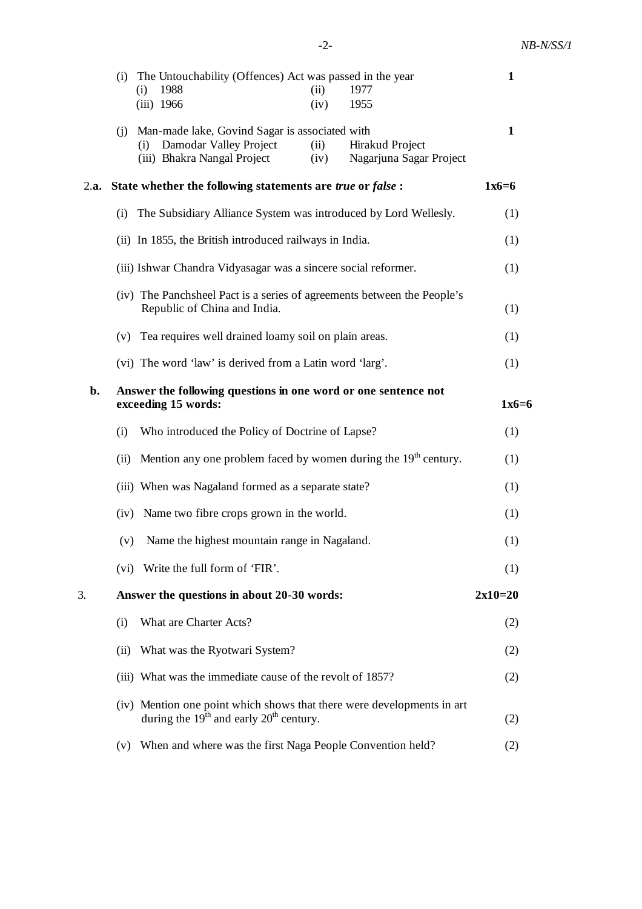|      |                                                                                                         | (i) The Untouchability (Offences) Act was passed in the year<br>1988<br>1977                                          |              | $\mathbf{1}$                               |              |
|------|---------------------------------------------------------------------------------------------------------|-----------------------------------------------------------------------------------------------------------------------|--------------|--------------------------------------------|--------------|
|      |                                                                                                         | (i)<br>$(iii)$ 1966                                                                                                   | (ii)<br>(iv) | 1955                                       |              |
|      |                                                                                                         | (i) Man-made lake, Govind Sagar is associated with                                                                    |              |                                            | $\mathbf{1}$ |
|      |                                                                                                         | Damodar Valley Project<br>(i)<br>(iii) Bhakra Nangal Project                                                          | (ii)<br>(iv) | Hirakud Project<br>Nagarjuna Sagar Project |              |
| 2.a. | State whether the following statements are true or false :                                              |                                                                                                                       |              |                                            | $1x6=6$      |
|      |                                                                                                         | (i) The Subsidiary Alliance System was introduced by Lord Wellesly.                                                   |              |                                            |              |
|      |                                                                                                         | (ii) In 1855, the British introduced railways in India.                                                               |              |                                            | (1)          |
|      |                                                                                                         | (iii) Ishwar Chandra Vidyasagar was a sincere social reformer.                                                        |              |                                            | (1)          |
|      | (iv) The Panchsheel Pact is a series of agreements between the People's<br>Republic of China and India. |                                                                                                                       |              |                                            | (1)          |
|      |                                                                                                         | (v) Tea requires well drained loamy soil on plain areas.                                                              |              |                                            | (1)          |
|      |                                                                                                         | (vi) The word 'law' is derived from a Latin word 'larg'.                                                              |              |                                            |              |
| b.   |                                                                                                         | Answer the following questions in one word or one sentence not<br>exceeding 15 words:                                 |              |                                            |              |
|      | (i)                                                                                                     | Who introduced the Policy of Doctrine of Lapse?                                                                       |              |                                            | (1)          |
|      | (ii)                                                                                                    | Mention any one problem faced by women during the 19 <sup>th</sup> century.                                           |              |                                            | (1)          |
|      |                                                                                                         | (iii) When was Nagaland formed as a separate state?                                                                   |              |                                            |              |
|      | (iv)                                                                                                    | Name two fibre crops grown in the world.                                                                              |              |                                            | (1)          |
|      | (v)                                                                                                     | Name the highest mountain range in Nagaland.                                                                          |              |                                            | (1)          |
|      |                                                                                                         | (vi) Write the full form of 'FIR'.                                                                                    |              |                                            | (1)          |
| 3.   | Answer the questions in about 20-30 words:                                                              |                                                                                                                       |              |                                            | $2x10=20$    |
|      | (i)                                                                                                     | What are Charter Acts?                                                                                                |              |                                            | (2)          |
|      | (ii)                                                                                                    | What was the Ryotwari System?                                                                                         |              |                                            | (2)          |
|      |                                                                                                         | (iii) What was the immediate cause of the revolt of 1857?                                                             |              |                                            | (2)          |
|      |                                                                                                         | (iv) Mention one point which shows that there were developments in art<br>during the $19th$ and early $20th$ century. |              |                                            | (2)          |
|      | (v)                                                                                                     | When and where was the first Naga People Convention held?                                                             |              |                                            | (2)          |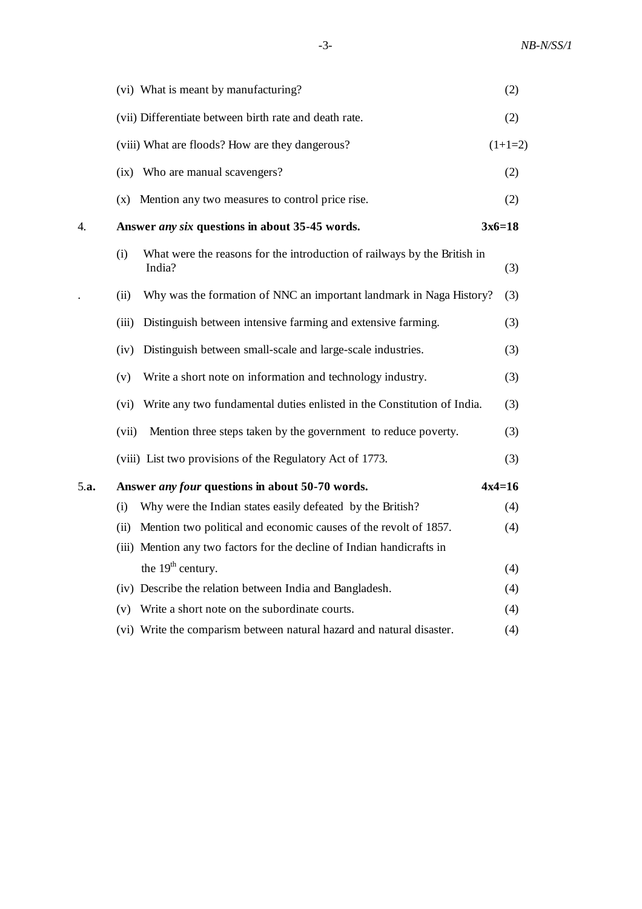| (vi) What is meant by manufacturing?                                                      | (2)       |  |  |
|-------------------------------------------------------------------------------------------|-----------|--|--|
| (vii) Differentiate between birth rate and death rate.                                    | (2)       |  |  |
| (viii) What are floods? How are they dangerous?                                           | $(1+1=2)$ |  |  |
| (ix) Who are manual scavengers?                                                           | (2)       |  |  |
| (x) Mention any two measures to control price rise.                                       | (2)       |  |  |
| Answer any six questions in about 35-45 words.                                            |           |  |  |
| What were the reasons for the introduction of railways by the British in<br>(i)<br>India? | (3)       |  |  |
| Why was the formation of NNC an important landmark in Naga History?<br>(ii)               | (3)       |  |  |
| Distinguish between intensive farming and extensive farming.<br>(iii)                     | (3)       |  |  |
| Distinguish between small-scale and large-scale industries.<br>(iv)                       | (3)       |  |  |
| Write a short note on information and technology industry.<br>(v)                         | (3)       |  |  |
| Write any two fundamental duties enlisted in the Constitution of India.<br>(vi)           | (3)       |  |  |
| (vii)<br>Mention three steps taken by the government to reduce poverty.                   | (3)       |  |  |
| (viii) List two provisions of the Regulatory Act of 1773.                                 | (3)       |  |  |
| $4x4=16$<br>Answer <i>any four</i> questions in about 50-70 words.                        |           |  |  |
| Why were the Indian states easily defeated by the British?<br>(i)                         | (4)       |  |  |
| Mention two political and economic causes of the revolt of 1857.<br>(ii)                  | (4)       |  |  |
| (iii) Mention any two factors for the decline of Indian handicrafts in                    |           |  |  |
| the 19 <sup>th</sup> century.                                                             | (4)       |  |  |
| (iv) Describe the relation between India and Bangladesh.                                  | (4)       |  |  |
| (v) Write a short note on the subordinate courts.                                         | (4)       |  |  |
| (vi) Write the comparism between natural hazard and natural disaster.                     | (4)       |  |  |
|                                                                                           | $3x6=18$  |  |  |